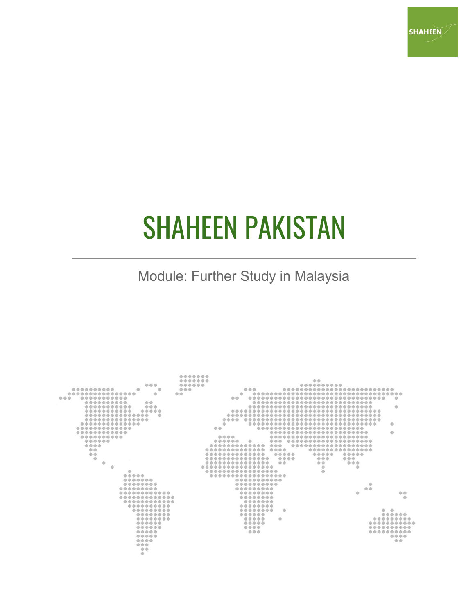

# SHAHEEN PAKISTAN

Module: Further Study in Malaysia

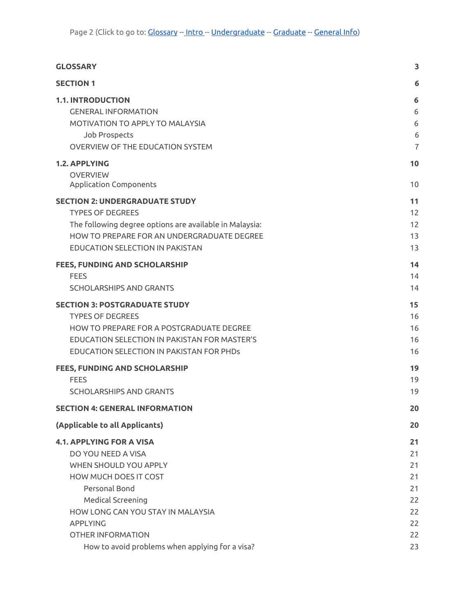| <b>GLOSSARY</b>                                                                                                                                                                                                                          | 3                                                  |
|------------------------------------------------------------------------------------------------------------------------------------------------------------------------------------------------------------------------------------------|----------------------------------------------------|
| <b>SECTION 1</b>                                                                                                                                                                                                                         | 6                                                  |
| <b>1.1. INTRODUCTION</b><br><b>GENERAL INFORMATION</b><br>MOTIVATION TO APPLY TO MALAYSIA<br>Job Prospects<br><b>OVERVIEW OF THE EDUCATION SYSTEM</b>                                                                                    | 6<br>6<br>6<br>6<br>$\overline{7}$                 |
| <b>1.2. APPLYING</b><br><b>OVERVIEW</b><br><b>Application Components</b>                                                                                                                                                                 | 10<br>10                                           |
| <b>SECTION 2: UNDERGRADUATE STUDY</b><br><b>TYPES OF DEGREES</b><br>The following degree options are available in Malaysia:<br>HOW TO PREPARE FOR AN UNDERGRADUATE DEGREE<br><b>EDUCATION SELECTION IN PAKISTAN</b>                      | 11<br>12<br>12<br>13<br>13                         |
| <b>FEES, FUNDING AND SCHOLARSHIP</b><br><b>FEES</b><br><b>SCHOLARSHIPS AND GRANTS</b>                                                                                                                                                    | 14<br>14<br>14                                     |
| <b>SECTION 3: POSTGRADUATE STUDY</b><br><b>TYPES OF DEGREES</b><br>HOW TO PREPARE FOR A POSTGRADUATE DEGREE<br>EDUCATION SELECTION IN PAKISTAN FOR MASTER'S<br>EDUCATION SELECTION IN PAKISTAN FOR PHDs                                  | 15<br>16<br>16<br>16<br>16                         |
| FEES, FUNDING AND SCHOLARSHIP<br><b>FEES</b><br><b>SCHOLARSHIPS AND GRANTS</b>                                                                                                                                                           | 19<br>19<br>19                                     |
| <b>SECTION 4: GENERAL INFORMATION</b>                                                                                                                                                                                                    | 20                                                 |
| (Applicable to all Applicants)                                                                                                                                                                                                           | 20                                                 |
| <b>4.1. APPLYING FOR A VISA</b><br>DO YOU NEED A VISA<br>WHEN SHOULD YOU APPLY<br>HOW MUCH DOES IT COST<br>Personal Bond<br><b>Medical Screening</b><br>HOW LONG CAN YOU STAY IN MALAYSIA<br><b>APPLYING</b><br><b>OTHER INFORMATION</b> | 21<br>21<br>21<br>21<br>21<br>22<br>22<br>22<br>22 |
| How to avoid problems when applying for a visa?                                                                                                                                                                                          | 23                                                 |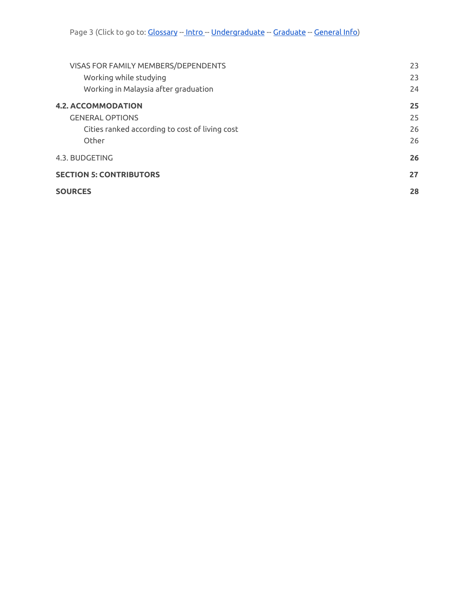| VISAS FOR FAMILY MEMBERS/DEPENDENTS            | 23 |
|------------------------------------------------|----|
| Working while studying                         | 23 |
| Working in Malaysia after graduation           | 24 |
| <b>4.2. ACCOMMODATION</b>                      | 25 |
| <b>GENERAL OPTIONS</b>                         | 25 |
| Cities ranked according to cost of living cost | 26 |
| Other                                          | 26 |
| 4.3. BUDGETING                                 | 26 |
| <b>SECTION 5: CONTRIBUTORS</b>                 | 27 |
| <b>SOURCES</b>                                 | 28 |
|                                                |    |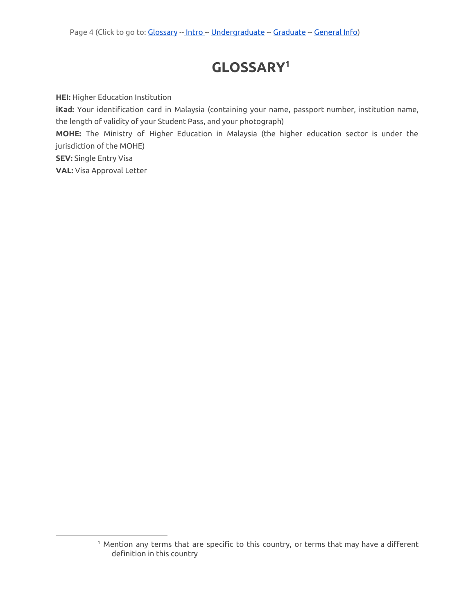# **GLOSSARY 1**

<span id="page-3-0"></span>**HEI:** Higher Education Institution

**iKad:** Your identification card in Malaysia (containing your name, passport number, institution name, the length of validity of your Student Pass, and your photograph)

**MOHE:** The Ministry of Higher Education in Malaysia (the higher education sector is under the jurisdiction of the MOHE)

**SEV:** Single Entry Visa

**VAL:** Visa Approval Letter

<sup>&</sup>lt;sup>1</sup> Mention any terms that are specific to this country, or terms that may have a different definition in this country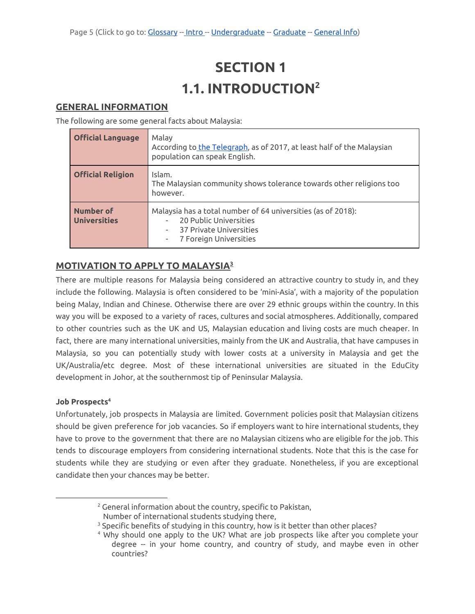# **SECTION 1 1.1. INTRODUCTION<sup>2</sup>**

### <span id="page-4-2"></span><span id="page-4-1"></span><span id="page-4-0"></span>**GENERAL INFORMATION**

The following are some general facts about Malaysia:

| <b>Official Language</b>         | Malay<br>According to the Telegraph, as of 2017, at least half of the Malaysian<br>population can speak English.                            |  |
|----------------------------------|---------------------------------------------------------------------------------------------------------------------------------------------|--|
| <b>Official Religion</b>         | Islam.<br>The Malaysian community shows tolerance towards other religions too<br>however.                                                   |  |
| Number of<br><b>Universities</b> | Malaysia has a total number of 64 universities (as of 2018):<br>20 Public Universities<br>37 Private Universities<br>7 Foreign Universities |  |

# <span id="page-4-3"></span>**MOTIVATION TO APPLY TO MALAYSIA 3**

There are multiple reasons for Malaysia being considered an attractive country to study in, and they include the following. Malaysia is often considered to be 'mini-Asia', with a majority of the population being Malay, Indian and Chinese. Otherwise there are over 29 ethnic groups within the country. In this way you will be exposed to a variety of races, cultures and social atmospheres. Additionally, compared to other countries such as the UK and US, Malaysian education and living costs are much cheaper. In fact, there are many international universities, mainly from the UK and Australia, that have campuses in Malaysia, so you can potentially study with lower costs at a university in Malaysia and get the UK/Australia/etc degree. Most of these international universities are situated in the EduCity development in Johor, at the southernmost tip of Peninsular Malaysia.

#### <span id="page-4-4"></span>**Job Prospects 4**

Unfortunately, job prospects in Malaysia are limited. Government policies posit that Malaysian citizens should be given preference for job vacancies. So if employers want to hire international students, they have to prove to the government that there are no Malaysian citizens who are eligible for the job. This tends to discourage employers from considering international students. Note that this is the case for students while they are studying or even after they graduate. Nonetheless, if you are exceptional candidate then your chances may be better.

<sup>2</sup> General information about the country, specific to Pakistan,

Number of international students studying there,

<sup>&</sup>lt;sup>3</sup> Specific benefits of studying in this country, how is it better than other places?

<sup>&</sup>lt;sup>4</sup> Why should one apply to the UK? What are job prospects like after you complete your degree -- in your home country, and country of study, and maybe even in other countries?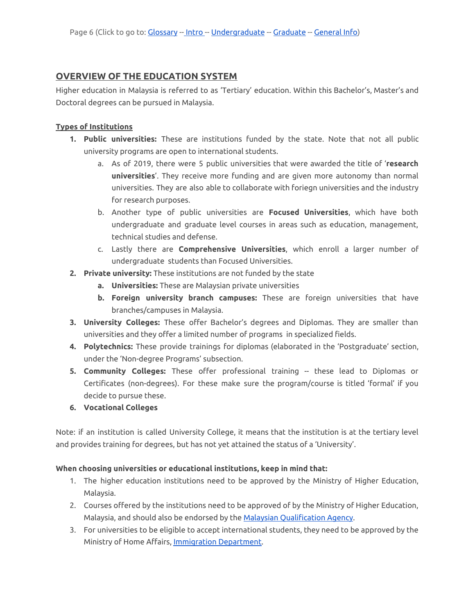### <span id="page-5-0"></span>**OVERVIEW OF THE EDUCATION SYSTEM**

Higher education in Malaysia is referred to as 'Tertiary' education. Within this Bachelor's, Master's and Doctoral degrees can be pursued in Malaysia.

#### **Types of Institutions**

- **1. Public universities:** These are institutions funded by the state. Note that not all public university programs are open to international students.
	- a. As of 2019, there were 5 public universities that were awarded the title of '**research universities**'. They receive more funding and are given more autonomy than normal universities. They are also able to collaborate with foriegn universities and the industry for research purposes.
	- b. Another type of public universities are **Focused Universities**, which have both undergraduate and graduate level courses in areas such as education, management, technical studies and defense.
	- c. Lastly there are **Comprehensive Universities**, which enroll a larger number of undergraduate students than Focused Universities.
- **2. Private university:** These institutions are not funded by the state
	- **a. Universities:** These are Malaysian private universities
	- **b. Foreign university branch campuses:** These are foreign universities that have branches/campuses in Malaysia.
- **3. University Colleges:** These offer Bachelor's degrees and Diplomas. They are smaller than universities and they offer a limited number of programs in specialized fields.
- **4. Polytechnics:** These provide trainings for diplomas (elaborated in the 'Postgraduate' section, under the 'Non-degree Programs' subsection.
- **5. Community Colleges:** These offer professional training -- these lead to Diplomas or Certificates (non-degrees). For these make sure the program/course is titled 'formal' if you decide to pursue these.
- **6. Vocational Colleges**

Note: if an institution is called University College, it means that the institution is at the tertiary level and provides training for degrees, but has not yet attained the status of a 'University'.

#### **When choosing universities or educational institutions, keep in mind that:**

- 1. The higher education institutions need to be approved by the Ministry of Higher Education, Malaysia.
- 2. Courses offered by the institutions need to be approved of by the Ministry of Higher Education, Malaysia, and should also be endorsed by the Malaysian [Qualification](http://www.mqa.gov.my/) Agency.
- 3. For universities to be eligible to accept international students, they need to be approved by the Ministry of Home Affairs, Immigration [Department.](http://www.mqa.gov.my/)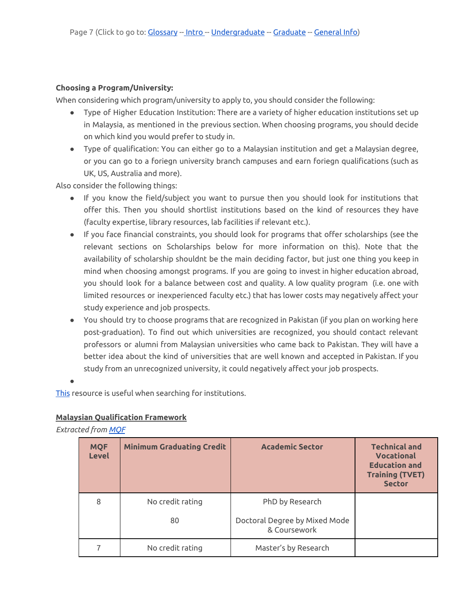#### **Choosing a Program/University:**

When considering which program/university to apply to, you should consider the following:

- Type of Higher Education Institution: There are a variety of higher education institutions set up in Malaysia, as mentioned in the previous section. When choosing programs, you should decide on which kind you would prefer to study in.
- Type of qualification: You can either go to a Malaysian institution and get a Malaysian degree, or you can go to a foriegn university branch campuses and earn foriegn qualifications (such as UK, US, Australia and more).

Also consider the following things:

- If you know the field/subject you want to pursue then you should look for institutions that offer this. Then you should shortlist institutions based on the kind of resources they have (faculty expertise, library resources, lab facilities if relevant etc.).
- If you face financial constraints, you should look for programs that offer scholarships (see the relevant sections on Scholarships below for more information on this). Note that the availability of scholarship shouldnt be the main deciding factor, but just one thing you keep in mind when choosing amongst programs. If you are going to invest in higher education abroad, you should look for a balance between cost and quality. A low quality program (i.e. one with limited resources or inexperienced faculty etc.) that has lower costs may negatively affect your study experience and job prospects.
- You should try to choose programs that are recognized in Pakistan (if you plan on working here post-graduation). To find out which universities are recognized, you should contact relevant professors or alumni from Malaysian universities who came back to Pakistan. They will have a better idea about the kind of universities that are well known and accepted in Pakistan. If you study from an unrecognized university, it could negatively affect your job prospects.

●

[This](https://educationmalaysia.gov.my/courses-education-institutes.html/) resource is useful when searching for institutions.

### **Malaysian Qualification Framework**

*Extracted from [MQF](http://pps.utem.edu.my/phocadownloadpap/2018%20MQF%202nd%20Edition%2002042018.pdf)*

| <b>MQF</b><br><b>Level</b> | <b>Minimum Graduating Credit</b> | <b>Academic Sector</b>                        | <b>Technical and</b><br><b>Vocational</b><br><b>Education and</b><br><b>Training (TVET)</b><br><b>Sector</b> |
|----------------------------|----------------------------------|-----------------------------------------------|--------------------------------------------------------------------------------------------------------------|
| 8                          | No credit rating                 | PhD by Research                               |                                                                                                              |
|                            | 80                               | Doctoral Degree by Mixed Mode<br>& Coursework |                                                                                                              |
|                            | No credit rating                 | Master's by Research                          |                                                                                                              |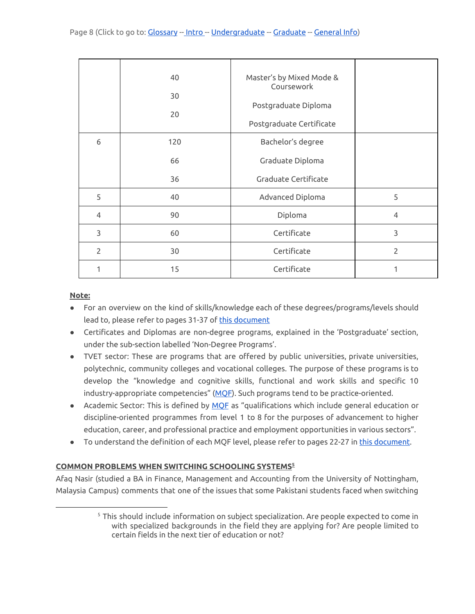|                | 40  | Master's by Mixed Mode &<br>Coursework |                |
|----------------|-----|----------------------------------------|----------------|
|                | 30  |                                        |                |
|                | 20  | Postgraduate Diploma                   |                |
|                |     | Postgraduate Certificate               |                |
| 6              | 120 | Bachelor's degree                      |                |
|                | 66  | Graduate Diploma                       |                |
|                | 36  | Graduate Certificate                   |                |
| 5              | 40  | Advanced Diploma                       | 5              |
| 4              | 90  | Diploma                                | $\overline{4}$ |
| 3              | 60  | Certificate                            | 3              |
| $\overline{2}$ | 30  | Certificate                            | $\overline{2}$ |
| 1              | 15  | Certificate                            | 1              |

#### **Note:**

- For an overview on the kind of skills/knowledge each of these degrees/programs/levels should lead to, please refer to pages 31-37 of this [document](http://pps.utem.edu.my/phocadownloadpap/2018%20MQF%202nd%20Edition%2002042018.pdf)
- Certificates and Diplomas are non-degree programs, explained in the 'Postgraduate' section, under the sub-section labelled 'Non-Degree Programs'.
- TVET sector: These are programs that are offered by public universities, private universities, polytechnic, community colleges and vocational colleges. The purpose of these programs is to develop the "knowledge and cognitive skills, functional and work skills and specific 10 industry-appropriate competencies" ([MQF](http://pps.utem.edu.my/phocadownloadpap/2018%20MQF%202nd%20Edition%2002042018.pdf)). Such programs tend to be practice-oriented.
- Academic Sector: This is defined by [MQF](http://pps.utem.edu.my/phocadownloadpap/2018%20MQF%202nd%20Edition%2002042018.pdf) as "qualifications which include general education or discipline-oriented programmes from level 1 to 8 for the purposes of advancement to higher education, career, and professional practice and employment opportunities in various sectors".
- To understand the definition of each MQF level, please refer to pages 22-27 in this [document.](http://pps.utem.edu.my/phocadownloadpap/2018%20MQF%202nd%20Edition%2002042018.pdf)

#### **COMMON PROBLEMS WHEN SWITCHING SCHOOLING SYSTEMS 5**

Afaq Nasir (studied a BA in Finance, Management and Accounting from the University of Nottingham, Malaysia Campus) comments that one of the issues that some Pakistani students faced when switching

 $5$  This should include information on subject specialization. Are people expected to come in with specialized backgrounds in the field they are applying for? Are people limited to certain fields in the next tier of education or not?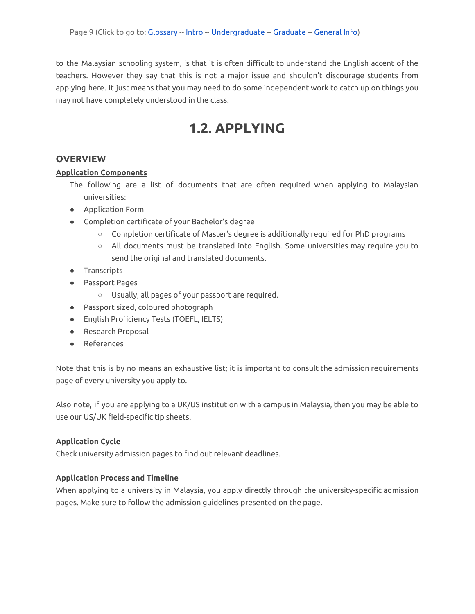to the Malaysian schooling system, is that it is often difficult to understand the English accent of the teachers. However they say that this is not a major issue and shouldn't discourage students from applying here. It just means that you may need to do some independent work to catch up on things you may not have completely understood in the class.

# **1.2. APPLYING**

### <span id="page-8-1"></span><span id="page-8-0"></span>**OVERVIEW**

#### **Application Components**

- The following are a list of documents that are often required when applying to Malaysian universities:
- Application Form
- Completion certificate of your Bachelor's degree
	- Completion certificate of Master's degree is additionally required for PhD programs
	- All documents must be translated into English. Some universities may require you to send the original and translated documents.
- Transcripts
- Passport Pages
	- Usually, all pages of your passport are required.
- Passport sized, coloured photograph
- English Proficiency Tests (TOEFL, IELTS)
- Research Proposal
- References

Note that this is by no means an exhaustive list; it is important to consult the admission requirements page of every university you apply to.

Also note, if you are applying to a UK/US institution with a campus in Malaysia, then you may be able to use our US/UK field-specific tip sheets.

#### **Application Cycle**

Check university admission pages to find out relevant deadlines.

#### **Application Process and Timeline**

When applying to a university in Malaysia, you apply directly through the university-specific admission pages. Make sure to follow the admission guidelines presented on the page.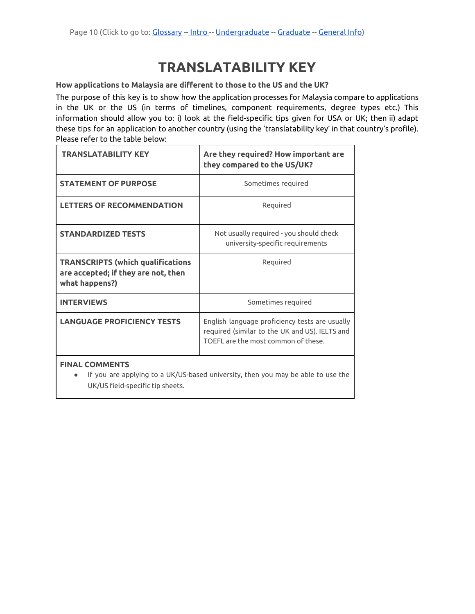# **TRANSLATABILITY KEY**

**How applications to Malaysia are different to those to the US and the UK?**

The purpose of this key is to show how the application processes for Malaysia compare to applications in the UK or the US (in terms of timelines, component requirements, degree types etc.) This information should allow you to: i) look at the field-specific tips given for USA or UK; then ii) adapt these tips for an application to another country (using the 'translatability key' in that country's profile). Please refer to the table below:

| <b>TRANSLATABILITY KEY</b>                                                                                                                                                                                                                                                                                                           | Are they required? How important are<br>they compared to the US/UK?                                                                     |
|--------------------------------------------------------------------------------------------------------------------------------------------------------------------------------------------------------------------------------------------------------------------------------------------------------------------------------------|-----------------------------------------------------------------------------------------------------------------------------------------|
| <b>STATEMENT OF PURPOSE</b>                                                                                                                                                                                                                                                                                                          | Sometimes required                                                                                                                      |
| <b>LETTERS OF RECOMMENDATION</b>                                                                                                                                                                                                                                                                                                     | Required                                                                                                                                |
| <b>STANDARDIZED TESTS</b>                                                                                                                                                                                                                                                                                                            | Not usually required - you should check<br>university-specific requirements                                                             |
| <b>TRANSCRIPTS (which qualifications</b><br>are accepted; if they are not, then<br>what happens?)                                                                                                                                                                                                                                    | Required                                                                                                                                |
| <b>INTERVIEWS</b>                                                                                                                                                                                                                                                                                                                    | Sometimes required                                                                                                                      |
| <b>LANGUAGE PROFICIENCY TESTS</b>                                                                                                                                                                                                                                                                                                    | English language proficiency tests are usually<br>required (similar to the UK and US). IELTS and<br>TOFFL are the most common of these. |
| <b>FINAL COMMENTS</b><br>$\mathbf{1}$ , $\mathbf{1}$ , $\mathbf{1}$ , $\mathbf{1}$ , $\mathbf{1}$ , $\mathbf{1}$ , $\mathbf{1}$ , $\mathbf{1}$ , $\mathbf{1}$ , $\mathbf{1}$ , $\mathbf{1}$ , $\mathbf{1}$ , $\mathbf{1}$ , $\mathbf{1}$ , $\mathbf{1}$ , $\mathbf{1}$ , $\mathbf{1}$ , $\mathbf{1}$ , $\mathbf{1}$ , $\mathbf{1}$ , | $\blacksquare$                                                                                                                          |

● If you are applying to a UK/US-based university, then you may be able to use the UK/US field-specific tip sheets.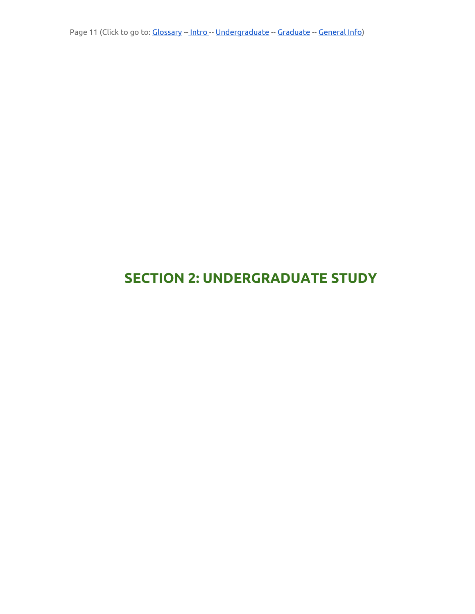Page 11 (Click to go to: [Glossary](#page-3-0) -- [Intro](#page-4-0) -- Undergraduate -- [Graduate](#page-14-0) -- [General](#page-19-0) Info)

# <span id="page-10-0"></span>**SECTION 2: UNDERGRADUATE STUDY**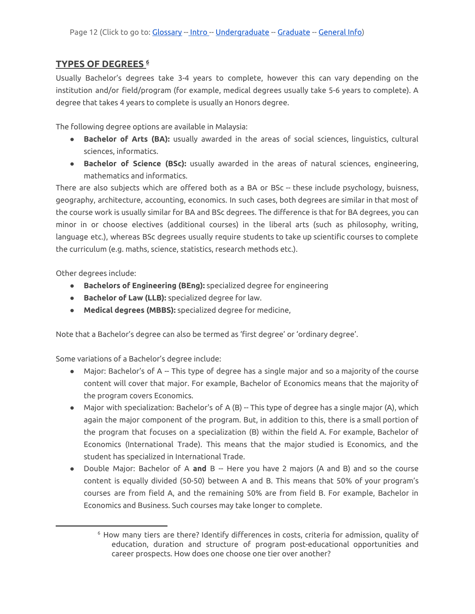### <span id="page-11-0"></span>**TYPES OF DEGREES 6**

Usually Bachelor's degrees take 3-4 years to complete, however this can vary depending on the institution and/or field/program (for example, medical degrees usually take 5-6 years to complete). A degree that takes 4 years to complete is usually an Honors degree.

<span id="page-11-1"></span>The following degree options are available in Malaysia:

- **Bachelor of Arts (BA):** usually awarded in the areas of social sciences, linguistics, cultural sciences, informatics.
- **Bachelor of Science (BSc):** usually awarded in the areas of natural sciences, engineering, mathematics and informatics.

There are also subjects which are offered both as a BA or BSc -- these include psychology, buisness, geography, architecture, accounting, economics. In such cases, both degrees are similar in that most of the course work is usually similar for BA and BSc degrees. The difference is that for BA degrees, you can minor in or choose electives (additional courses) in the liberal arts (such as philosophy, writing, language etc.), whereas BSc degrees usually require students to take up scientific courses to complete the curriculum (e.g. maths, science, statistics, research methods etc.).

Other degrees include:

- **Bachelors of Engineering (BEng):** specialized degree for engineering
- **Bachelor of Law (LLB):** specialized degree for law.
- **Medical degrees (MBBS):** specialized degree for medicine,

Note that a Bachelor's degree can also be termed as 'first degree' or 'ordinary degree'.

Some variations of a Bachelor's degree include:

- Major: Bachelor's of A -- This type of degree has a single major and so a majority of the course content will cover that major. For example, Bachelor of Economics means that the majority of the program covers Economics.
- Major with specialization: Bachelor's of A (B) -- This type of degree has a single major (A), which again the major component of the program. But, in addition to this, there is a small portion of the program that focuses on a specialization (B) within the field A. For example, Bachelor of Economics (International Trade). This means that the major studied is Economics, and the student has specialized in International Trade.
- Double Major: Bachelor of A **and** B -- Here you have 2 majors (A and B) and so the course content is equally divided (50-50) between A and B. This means that 50% of your program's courses are from field A, and the remaining 50% are from field B. For example, Bachelor in Economics and Business. Such courses may take longer to complete.

<sup>6</sup> How many tiers are there? Identify differences in costs, criteria for admission, quality of education, duration and structure of program post-educational opportunities and career prospects. How does one choose one tier over another?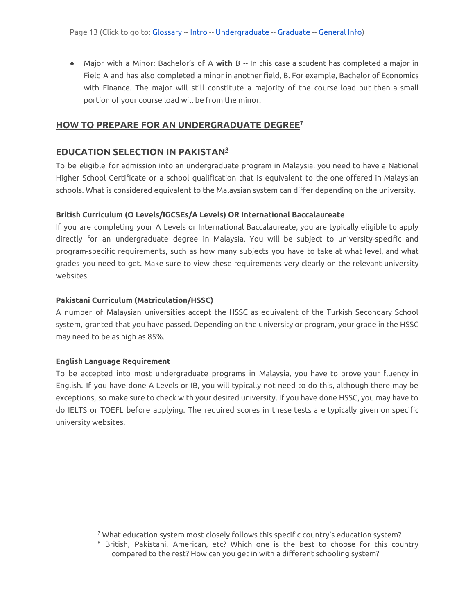● Major with a Minor: Bachelor's of A **with** B -- In this case a student has completed a major in Field A and has also completed a minor in another field, B. For example, Bachelor of Economics with Finance. The major will still constitute a majority of the course load but then a small portion of your course load will be from the minor.

### <span id="page-12-0"></span>**HOW TO PREPARE FOR AN UNDERGRADUATE DEGREE 7**

### <span id="page-12-1"></span>**EDUCATION SELECTION IN PAKISTAN<sup>8</sup>**

To be eligible for admission into an undergraduate program in Malaysia, you need to have a National Higher School Certificate or a school qualification that is equivalent to the one offered in Malaysian schools. What is considered equivalent to the Malaysian system can differ depending on the university.

#### **British Curriculum (O Levels/IGCSEs/A Levels) OR International Baccalaureate**

If you are completing your A Levels or International Baccalaureate, you are typically eligible to apply directly for an undergraduate degree in Malaysia. You will be subject to university-specific and program-specific requirements, such as how many subjects you have to take at what level, and what grades you need to get. Make sure to view these requirements very clearly on the relevant university websites.

#### **Pakistani Curriculum (Matriculation/HSSC)**

A number of Malaysian universities accept the HSSC as equivalent of the Turkish Secondary School system, granted that you have passed. Depending on the university or program, your grade in the HSSC may need to be as high as 85%.

#### **English Language Requirement**

To be accepted into most undergraduate programs in Malaysia, you have to prove your fluency in English. If you have done A Levels or IB, you will typically not need to do this, although there may be exceptions, so make sure to check with your desired university. If you have done HSSC, you may have to do IELTS or TOEFL before applying. The required scores in these tests are typically given on specific university websites.

 $7$  What education system most closely follows this specific country's education system?

<sup>8</sup> British, Pakistani, American, etc? Which one is the best to choose for this country compared to the rest? How can you get in with a different schooling system?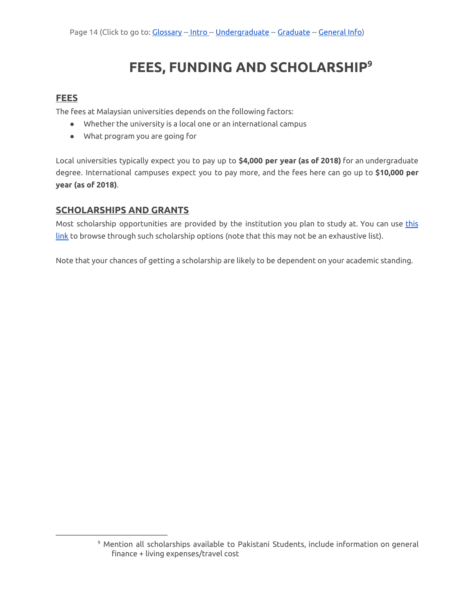# **FEES, FUNDING AND SCHOLARSHIP 9**

### <span id="page-13-1"></span><span id="page-13-0"></span>**FEES**

The fees at Malaysian universities depends on the following factors:

- Whether the university is a local one or an international campus
- What program you are going for

Local universities typically expect you to pay up to **\$4,000 per year (as of 2018)** for an undergraduate degree. International campuses expect you to pay more, and the fees here can go up to **\$10,000 per year (as of 2018)**.

#### <span id="page-13-2"></span>**SCHOLARSHIPS AND GRANTS**

Most scholarship opportunities are provided by the institution you plan to study at. You can use [this](https://educationmalaysia.gov.my/scholarship-search-results) [link](https://educationmalaysia.gov.my/scholarship-search-results) to browse through such scholarship options (note that this may not be an exhaustive list).

Note that your chances of getting a scholarship are likely to be dependent on your academic standing.

<sup>9</sup> Mention all scholarships available to Pakistani Students, include information on general finance + living expenses/travel cost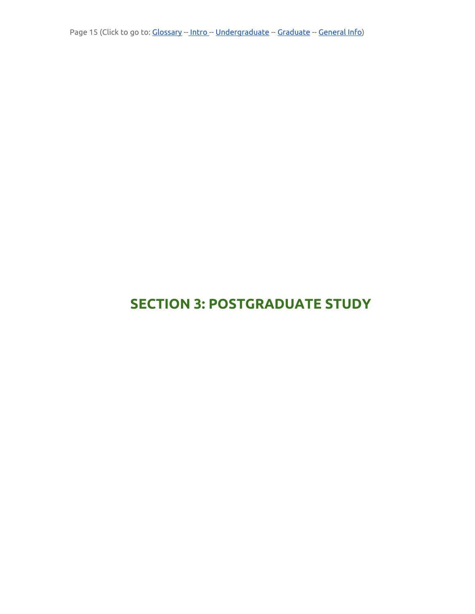Page 15 (Click to go to: [Glossary](#page-3-0) -- [Intro](#page-4-0) -- Undergraduate -- [Graduate](#page-14-0) -- [General](#page-19-0) Info)

# <span id="page-14-0"></span>**SECTION 3: POSTGRADUATE STUDY**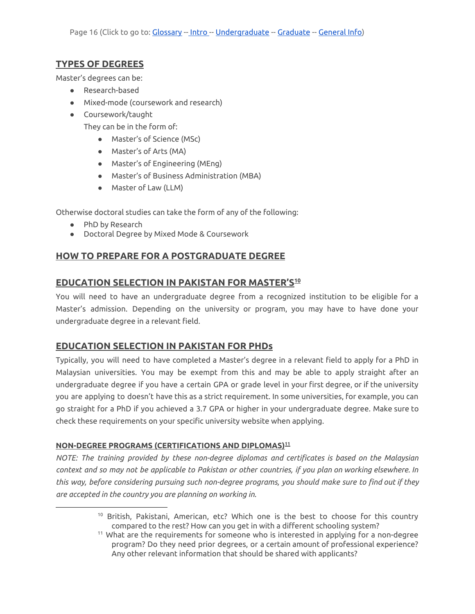# <span id="page-15-0"></span>**TYPES OF DEGREES**

Master's degrees can be:

- Research-based
- Mixed-mode (coursework and research)
- Coursework/taught

They can be in the form of:

- Master's of Science (MSc)
- Master's of Arts (MA)
- Master's of Engineering (MEng)
- Master's of Business Administration (MBA)
- Master of Law (LLM)

Otherwise doctoral studies can take the form of any of the following:

- PhD by Research
- Doctoral Degree by Mixed Mode & Coursework

# <span id="page-15-1"></span>**HOW TO PREPARE FOR A POSTGRADUATE DEGREE**

# <span id="page-15-2"></span>**EDUCATION SELECTION IN PAKISTAN FOR MASTER'S 10**

You will need to have an undergraduate degree from a recognized institution to be eligible for a Master's admission. Depending on the university or program, you may have to have done your undergraduate degree in a relevant field.

# <span id="page-15-3"></span>**EDUCATION SELECTION IN PAKISTAN FOR PHDs**

Typically, you will need to have completed a Master's degree in a relevant field to apply for a PhD in Malaysian universities. You may be exempt from this and may be able to apply straight after an undergraduate degree if you have a certain GPA or grade level in your first degree, or if the university you are applying to doesn't have this as a strict requirement. In some universities, for example, you can go straight for a PhD if you achieved a 3.7 GPA or higher in your undergraduate degree. Make sure to check these requirements on your specific university website when applying.

#### **NON-DEGREE PROGRAMS (CERTIFICATIONS AND DIPLOMAS) 11**

*NOTE: The training provided by these non-degree diplomas and certificates is based on the Malaysian* context and so may not be applicable to Pakistan or other countries, if you plan on working elsewhere. In *this way, before considering pursuing such non-degree programs, you should make sure to find out if they are accepted in the country you are planning on working in.*

<sup>&</sup>lt;sup>10</sup> British, Pakistani, American, etc? Which one is the best to choose for this country compared to the rest? How can you get in with a different schooling system?

<sup>&</sup>lt;sup>11</sup> What are the requirements for someone who is interested in applying for a non-degree program? Do they need prior degrees, or a certain amount of professional experience? Any other relevant information that should be shared with applicants?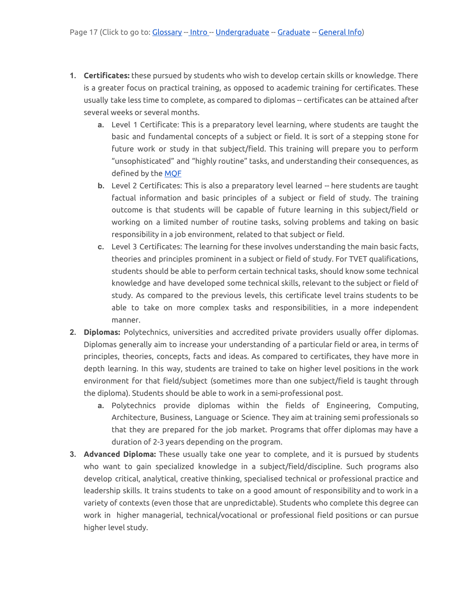- **1. Certificates:** these pursued by students who wish to develop certain skills or knowledge. There is a greater focus on practical training, as opposed to academic training for certificates. These usually take less time to complete, as compared to diplomas -- certificates can be attained after several weeks or several months.
	- **a.** Level 1 Certificate: This is a preparatory level learning, where students are taught the basic and fundamental concepts of a subject or field. It is sort of a stepping stone for future work or study in that subject/field. This training will prepare you to perform "unsophisticated" and "highly routine" tasks, and understanding their consequences, as defined by the [MQF](http://pps.utem.edu.my/phocadownloadpap/2018%20MQF%202nd%20Edition%2002042018.pdf)
	- **b.** Level 2 Certificates: This is also a preparatory level learned -- here students are taught factual information and basic principles of a subject or field of study. The training outcome is that students will be capable of future learning in this subject/field or working on a limited number of routine tasks, solving problems and taking on basic responsibility in a job environment, related to that subject or field.
	- **c.** Level 3 Certificates: The learning for these involves understanding the main basic facts, theories and principles prominent in a subject or field of study. For TVET qualifications, students should be able to perform certain technical tasks, should know some technical knowledge and have developed some technical skills, relevant to the subject or field of study. As compared to the previous levels, this certificate level trains students to be able to take on more complex tasks and responsibilities, in a more independent manner.
- **2. Diplomas:** Polytechnics, universities and accredited private providers usually offer diplomas. Diplomas generally aim to increase your understanding of a particular field or area, in terms of principles, theories, concepts, facts and ideas. As compared to certificates, they have more in depth learning. In this way, students are trained to take on higher level positions in the work environment for that field/subject (sometimes more than one subject/field is taught through the diploma). Students should be able to work in a semi-professional post.
	- **a.** Polytechnics provide diplomas within the fields of Engineering, Computing, Architecture, Business, Language or Science. They aim at training semi professionals so that they are prepared for the job market. Programs that offer diplomas may have a duration of 2-3 years depending on the program.
- **3. Advanced Diploma:** These usually take one year to complete, and it is pursued by students who want to gain specialized knowledge in a subject/field/discipline. Such programs also develop critical, analytical, creative thinking, specialised technical or professional practice and leadership skills. It trains students to take on a good amount of responsibility and to work in a variety of contexts (even those that are unpredictable). Students who complete this degree can work in higher managerial, technical/vocational or professional field positions or can pursue higher level study.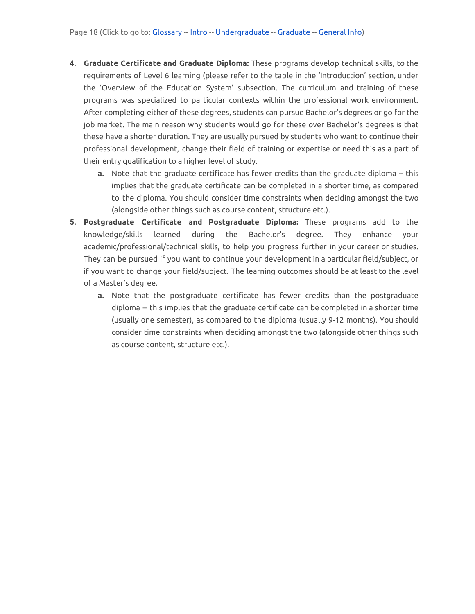- **4. Graduate Certificate and Graduate Diploma:** These programs develop technical skills, to the requirements of Level 6 learning (please refer to the table in the 'Introduction' section, under the 'Overview of the Education System' subsection. The curriculum and training of these programs was specialized to particular contexts within the professional work environment. After completing either of these degrees, students can pursue Bachelor's degrees or go for the job market. The main reason why students would go for these over Bachelor's degrees is that these have a shorter duration. They are usually pursued by students who want to continue their professional development, change their field of training or expertise or need this as a part of their entry qualification to a higher level of study.
	- **a.** Note that the graduate certificate has fewer credits than the graduate diploma -- this implies that the graduate certificate can be completed in a shorter time, as compared to the diploma. You should consider time constraints when deciding amongst the two (alongside other things such as course content, structure etc.).
- **5. Postgraduate Certificate and Postgraduate Diploma:** These programs add to the knowledge/skills learned during the Bachelor's degree. They enhance your academic/professional/technical skills, to help you progress further in your career or studies. They can be pursued if you want to continue your development in a particular field/subject, or if you want to change your field/subject. The learning outcomes should be at least to the level of a Master's degree.
	- **a.** Note that the postgraduate certificate has fewer credits than the postgraduate diploma -- this implies that the graduate certificate can be completed in a shorter time (usually one semester), as compared to the diploma (usually 9-12 months). You should consider time constraints when deciding amongst the two (alongside other things such as course content, structure etc.).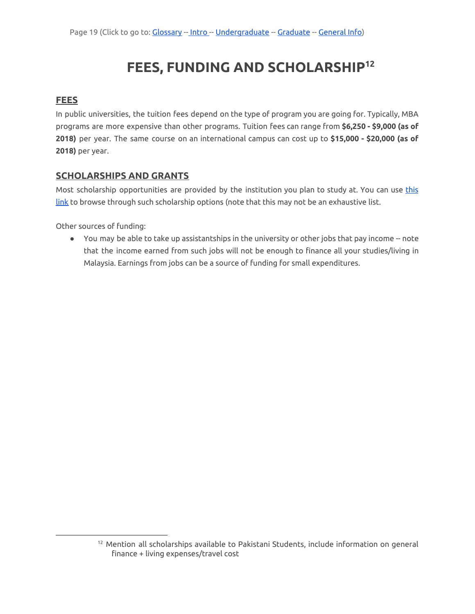# **FEES, FUNDING AND SCHOLARSHIP 12**

### <span id="page-18-1"></span><span id="page-18-0"></span>**FEES**

In public universities, the tuition fees depend on the type of program you are going for. Typically, MBA programs are more expensive than other programs. Tuition fees can range from **\$6,250 - \$9,000 (as of 2018)** per year. The same course on an international campus can cost up to **\$15,000 - \$20,000 (as of 2018)** per year.

### <span id="page-18-2"></span>**SCHOLARSHIPS AND GRANTS**

Most scholarship opportunities are provided by the institution you plan to study at. You can use [this](https://educationmalaysia.gov.my/scholarship-search-results) [link](https://educationmalaysia.gov.my/scholarship-search-results) to browse through such scholarship options (note that this may not be an exhaustive list.

Other sources of funding:

● You may be able to take up assistantships in the university or other jobs that pay income -- note that the income earned from such jobs will not be enough to finance all your studies/living in Malaysia. Earnings from jobs can be a source of funding for small expenditures.

<sup>&</sup>lt;sup>12</sup> Mention all scholarships available to Pakistani Students, include information on general finance + living expenses/travel cost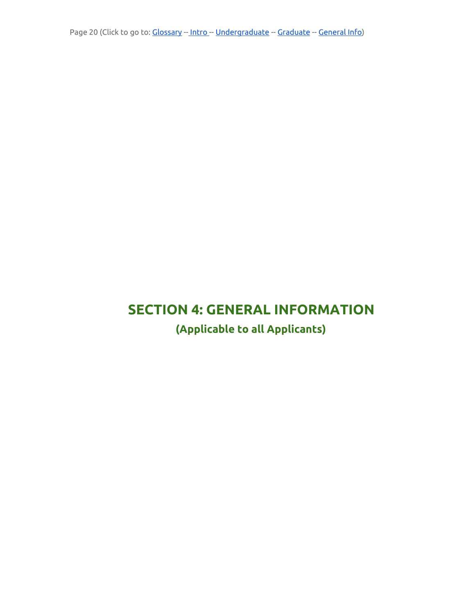<span id="page-19-0"></span>Page 20 (Click to go to: [Glossary](#page-3-0) -- [Intro](#page-4-0) -- Undergraduate -- [Graduate](#page-14-0) -- [General](#page-19-0) Info)

# <span id="page-19-2"></span><span id="page-19-1"></span>**SECTION 4: GENERAL INFORMATION**

**(Applicable to all Applicants)**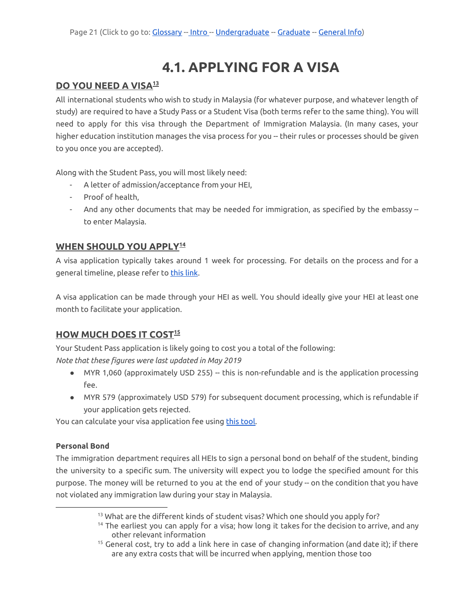# **4.1. APPLYING FOR A VISA**

#### <span id="page-20-1"></span><span id="page-20-0"></span>**DO YOU NEED A VISA 13**

All international students who wish to study in Malaysia (for whatever purpose, and whatever length of study) are required to have a Study Pass or a Student Visa (both terms refer to the same thing). You will need to apply for this visa through the Department of Immigration Malaysia. (In many cases, your higher education institution manages the visa process for you -- their rules or processes should be given to you once you are accepted).

Along with the Student Pass, you will most likely need:

- A letter of admission/acceptance from your HEI,
- Proof of health,
- And any other documents that may be needed for immigration, as specified by the embassy to enter Malaysia.

### <span id="page-20-2"></span>**WHEN SHOULD YOU APPLY 14**

A visa application typically takes around 1 week for processing. For details on the process and for a general timeline, please refer to [this](https://educationmalaysia.gov.my/visa-new-application/#what-can-i-do-or-not-do-with-pass) link.

A visa application can be made through your HEI as well. You should ideally give your HEI at least one month to facilitate your application.

### <span id="page-20-3"></span>**HOW MUCH DOES IT COST 15**

Your Student Pass application is likely going to cost you a total of the following:

*Note that these figures were last updated in May 2019*

- MYR 1,060 (approximately USD 255) -- this is non-refundable and is the application processing fee.
- MYR 579 (approximately USD 579) for subsequent document processing, which is refundable if your application gets rejected.

You can calculate your visa application fee using this [tool](https://visa.educationmalaysia.gov.my/catalog/product/view/id/7568/category/123/?___SID=U).

#### <span id="page-20-4"></span>**Personal Bond**

The immigration department requires all HEIs to sign a personal bond on behalf of the student, binding the university to a specific sum. The university will expect you to lodge the specified amount for this purpose. The money will be returned to you at the end of your study -- on the condition that you have not violated any immigration law during your stay in Malaysia.

<sup>&</sup>lt;sup>13</sup> What are the different kinds of student visas? Which one should you apply for?

 $14$  The earliest you can apply for a visa; how long it takes for the decision to arrive, and any other relevant information

 $15$  General cost, try to add a link here in case of changing information (and date it); if there are any extra costs that will be incurred when applying, mention those too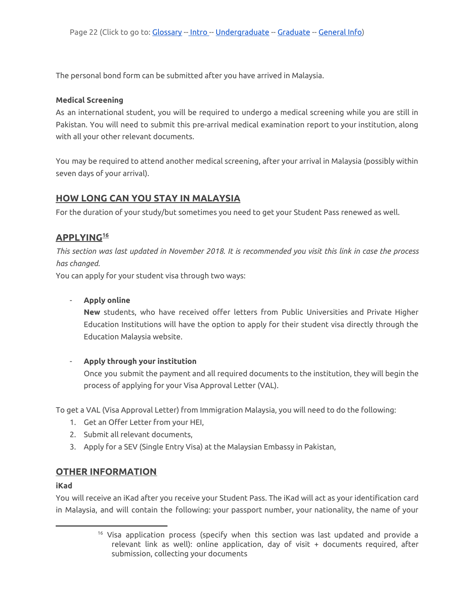The personal bond form can be submitted after you have arrived in Malaysia.

#### <span id="page-21-0"></span>**Medical Screening**

As an international student, you will be required to undergo a medical screening while you are still in Pakistan. You will need to submit this pre-arrival medical examination report to your institution, along with all your other relevant documents.

You may be required to attend another medical screening, after your arrival in Malaysia (possibly within seven days of your arrival).

#### <span id="page-21-1"></span>**HOW LONG CAN YOU STAY IN MALAYSIA**

For the duration of your study/but sometimes you need to get your Student Pass renewed as well.

#### <span id="page-21-2"></span>**APPLYING 16**

This section was last updated in November 2018. It is recommended you visit this link in case the process *has changed.*

You can apply for your student visa through two ways:

#### - **Apply online**

**New** students, who have received offer letters from Public Universities and Private Higher Education Institutions will have the option to apply for their student visa directly through the Education Malaysia website.

#### - **Apply through your institution**

Once you submit the payment and all required documents to the institution, they will begin the process of applying for your Visa Approval Letter (VAL).

To get a VAL (Visa Approval Letter) from Immigration Malaysia, you will need to do the following:

- 1. Get an Offer Letter from your HEI,
- 2. Submit all relevant documents,
- 3. Apply for a SEV (Single Entry Visa) at the Malaysian Embassy in Pakistan,

#### <span id="page-21-3"></span>**OTHER INFORMATION**

#### **iKad**

You will receive an iKad after you receive your Student Pass. The iKad will act as your identification card in Malaysia, and will contain the following: your passport number, your nationality, the name of your

<sup>&</sup>lt;sup>16</sup> Visa application process (specify when this section was last updated and provide a relevant link as well): online application, day of visit + documents required, after submission, collecting your documents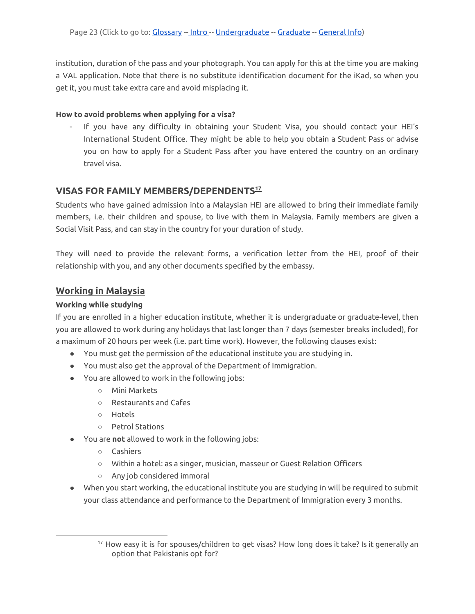institution, duration of the pass and your photograph. You can apply for this at the time you are making a VAL application. Note that there is no substitute identification document for the iKad, so when you get it, you must take extra care and avoid misplacing it.

#### <span id="page-22-0"></span>**How to avoid problems when applying for a visa?**

If you have any difficulty in obtaining your Student Visa, you should contact your HEI's International Student Office. They might be able to help you obtain a Student Pass or advise you on how to apply for a Student Pass after you have entered the country on an ordinary travel visa.

### <span id="page-22-1"></span>**VISAS FOR FAMILY MEMBERS/DEPENDENTS 17**

Students who have gained admission into a Malaysian HEI are allowed to bring their immediate family members, i.e. their children and spouse, to live with them in Malaysia. Family members are given a Social Visit Pass, and can stay in the country for your duration of study.

They will need to provide the relevant forms, a verification letter from the HEI, proof of their relationship with you, and any other documents specified by the embassy.

# **Working in Malaysia**

#### <span id="page-22-2"></span>**Working while studying**

If you are enrolled in a higher education institute, whether it is undergraduate or graduate-level, then you are allowed to work during any holidays that last longer than 7 days (semester breaks included), for a maximum of 20 hours per week (i.e. part time work). However, the following clauses exist:

- You must get the permission of the educational institute you are studying in.
- You must also get the approval of the Department of Immigration.
- You are allowed to work in the following jobs:
	- Mini Markets
	- Restaurants and Cafes
	- Hotels
	- Petrol Stations
- You are **not** allowed to work in the following jobs:
	- Cashiers
	- Within a hotel: as a singer, musician, masseur or Guest Relation Officers
	- Any job considered immoral
- When you start working, the educational institute you are studying in will be required to submit your class attendance and performance to the Department of Immigration every 3 months.

<sup>&</sup>lt;sup>17</sup> How easy it is for spouses/children to get visas? How long does it take? Is it generally an option that Pakistanis opt for?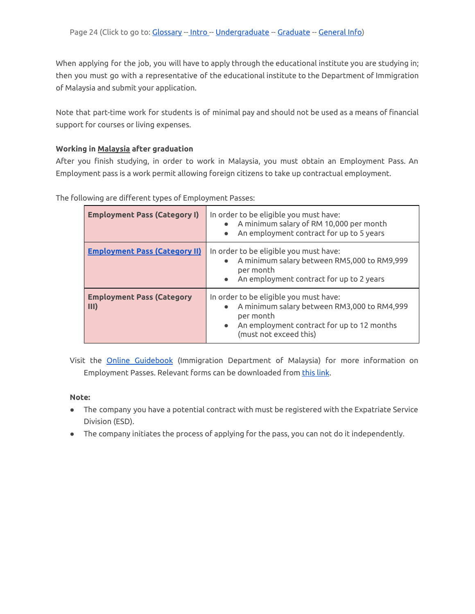When applying for the job, you will have to apply through the educational institute you are studying in; then you must go with a representative of the educational institute to the Department of Immigration of Malaysia and submit your application.

Note that part-time work for students is of minimal pay and should not be used as a means of financial support for courses or living expenses.

#### <span id="page-23-0"></span>**Working in Malaysia after graduation**

After you finish studying, in order to work in Malaysia, you must obtain an Employment Pass. An Employment pass is a work permit allowing foreign citizens to take up contractual employment.

| <b>Employment Pass (Category I)</b>      | In order to be eligible you must have:<br>A minimum salary of RM 10,000 per month<br>An employment contract for up to 5 years                                              |
|------------------------------------------|----------------------------------------------------------------------------------------------------------------------------------------------------------------------------|
| <b>Employment Pass (Category II)</b>     | In order to be eligible you must have:<br>A minimum salary between RM5,000 to RM9,999<br>per month<br>An employment contract for up to 2 years                             |
| <b>Employment Pass (Category</b><br>III) | In order to be eligible you must have:<br>A minimum salary between RM3,000 to RM4,999<br>per month<br>An employment contract for up to 12 months<br>(must not exceed this) |

The following are different types of Employment Passes:

Visit the **Online [Guidebook](https://esd.imi.gov.my/portal/pdf/tc-esd-quick-guidev3-20181102.pdf)** (Immigration Department of Malaysia) for more information on Employment Passes. Relevant forms can be downloaded from [this](https://esd.imi.gov.my/portal/downloads/) link.

#### **Note:**

- The company you have a potential contract with must be registered with the Expatriate Service Division (ESD).
- The company initiates the process of applying for the pass, you can not do it independently.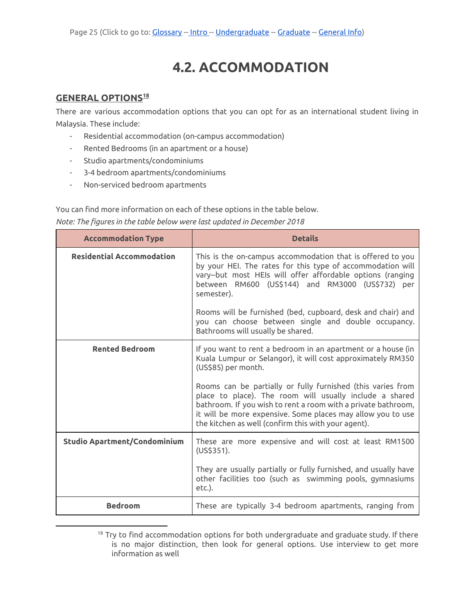# **4.2. ACCOMMODATION**

### <span id="page-24-1"></span><span id="page-24-0"></span>**GENERAL OPTIONS 18**

There are various accommodation options that you can opt for as an international student living in Malaysia. These include:

- Residential accommodation (on-campus accommodation)
- Rented Bedrooms (in an apartment or a house)
- Studio apartments/condominiums
- 3-4 bedroom apartments/condominiums
- Non-serviced bedroom apartments

You can find more information on each of these options in the table below.

|  |  | Note: The figures in the table below were last updated in December 2018 |
|--|--|-------------------------------------------------------------------------|
|--|--|-------------------------------------------------------------------------|

| <b>Accommodation Type</b>           | <b>Details</b>                                                                                                                                                                                                                                                                                                                                                                                                      |
|-------------------------------------|---------------------------------------------------------------------------------------------------------------------------------------------------------------------------------------------------------------------------------------------------------------------------------------------------------------------------------------------------------------------------------------------------------------------|
| <b>Residential Accommodation</b>    | This is the on-campus accommodation that is offered to you<br>by your HEI. The rates for this type of accommodation will<br>vary--but most HEIs will offer affordable options (ranging<br>between RM600 (US\$144) and RM3000 (US\$732) per<br>semester).<br>Rooms will be furnished (bed, cupboard, desk and chair) and<br>you can choose between single and double occupancy.<br>Bathrooms will usually be shared. |
| <b>Rented Bedroom</b>               | If you want to rent a bedroom in an apartment or a house (in<br>Kuala Lumpur or Selangor), it will cost approximately RM350<br>(US\$85) per month.                                                                                                                                                                                                                                                                  |
|                                     | Rooms can be partially or fully furnished (this varies from<br>place to place). The room will usually include a shared<br>bathroom. If you wish to rent a room with a private bathroom,<br>it will be more expensive. Some places may allow you to use<br>the kitchen as well (confirm this with your agent).                                                                                                       |
| <b>Studio Apartment/Condominium</b> | These are more expensive and will cost at least RM1500<br>(US\$351).                                                                                                                                                                                                                                                                                                                                                |
|                                     | They are usually partially or fully furnished, and usually have<br>other facilities too (such as swimming pools, gymnasiums<br>etc.).                                                                                                                                                                                                                                                                               |
| <b>Bedroom</b>                      | These are typically 3-4 bedroom apartments, ranging from                                                                                                                                                                                                                                                                                                                                                            |

<sup>&</sup>lt;sup>18</sup> Try to find accommodation options for both undergraduate and graduate study. If there is no major distinction, then look for general options. Use interview to get more information as well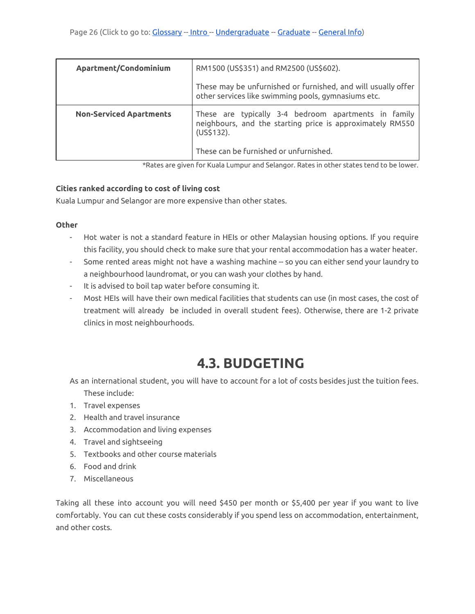| Apartment/Condominium          | RM1500 (US\$351) and RM2500 (US\$602).                                                                                                                                    |
|--------------------------------|---------------------------------------------------------------------------------------------------------------------------------------------------------------------------|
|                                | These may be unfurnished or furnished, and will usually offer<br>other services like swimming pools, gymnasiums etc.                                                      |
| <b>Non-Serviced Apartments</b> | These are typically 3-4 bedroom apartments in family<br>neighbours, and the starting price is approximately RM550<br>(US\$132).<br>These can be furnished or unfurnished. |
|                                |                                                                                                                                                                           |

\*Rates are given for Kuala Lumpur and Selangor. Rates in other states tend to be lower.

#### <span id="page-25-0"></span>**Cities ranked according to cost of living cost**

Kuala Lumpur and Selangor are more expensive than other states.

#### <span id="page-25-1"></span>**Other**

- Hot water is not a standard feature in HEIs or other Malaysian housing options. If you require this facility, you should check to make sure that your rental accommodation has a water heater.
- Some rented areas might not have a washing machine -- so you can either send your laundry to a neighbourhood laundromat, or you can wash your clothes by hand.
- It is advised to boil tap water before consuming it.
- Most HEIs will have their own medical facilities that students can use (in most cases, the cost of treatment will already be included in overall student fees). Otherwise, there are 1-2 private clinics in most neighbourhoods.

# **4.3. BUDGETING**

<span id="page-25-2"></span>As an international student, you will have to account for a lot of costs besides just the tuition fees. These include:

- 1. Travel expenses
- 2. Health and travel insurance
- 3. Accommodation and living expenses
- 4. Travel and sightseeing
- 5. Textbooks and other course materials
- 6. Food and drink
- 7. Miscellaneous

Taking all these into account you will need \$450 per month or \$5,400 per year if you want to live comfortably. You can cut these costs considerably if you spend less on accommodation, entertainment, and other costs.